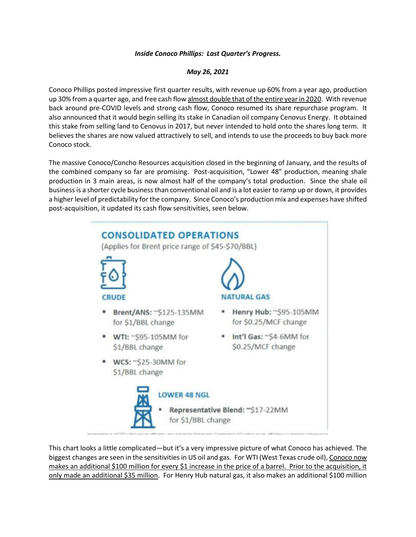## *Inside Conoco Phillips: Last Quarter's Progress.*

## *May 26, 2021*

Conoco Phillips posted impressive first quarter results, with revenue up 60% from a year ago, production up 30% from a quarter ago, and free cash flow almost double that of the entire year in 2020. With revenue back around pre-COVID levels and strong cash flow, Conoco resumed its share repurchase program. It also announced that it would begin selling its stake in Canadian oil company Cenovus Energy. It obtained this stake from selling land to Cenovus in 2017, but never intended to hold onto the shares long term. It believes the shares are now valued attractively to sell, and intends to use the proceeds to buy back more Conoco stock.

The massive Conoco/Concho Resources acquisition closed in the beginning of January, and the results of the combined company so far are promising. Post-acquisition, "Lower 48" production, meaning shale production in 3 main areas, is now almost half of the company's total production. Since the shale oil business is a shorter cycle business than conventional oil and is a lot easier to ramp up or down, it provides a higher level of predictability for the company. Since Conoco's production mix and expenses have shifted post-acquisition, it updated its cash flow sensitivities, seen below.



This chart looks a little complicated—but it's a very impressive picture of what Conoco has achieved. The biggest changes are seen in the sensitivities in US oil and gas. For WTI (West Texas crude oil), Conoco now makes an additional \$100 million for every \$1 increase in the price of a barrel. Prior to the acquisition, it only made an additional \$35 million. For Henry Hub natural gas, it also makes an additional \$100 million